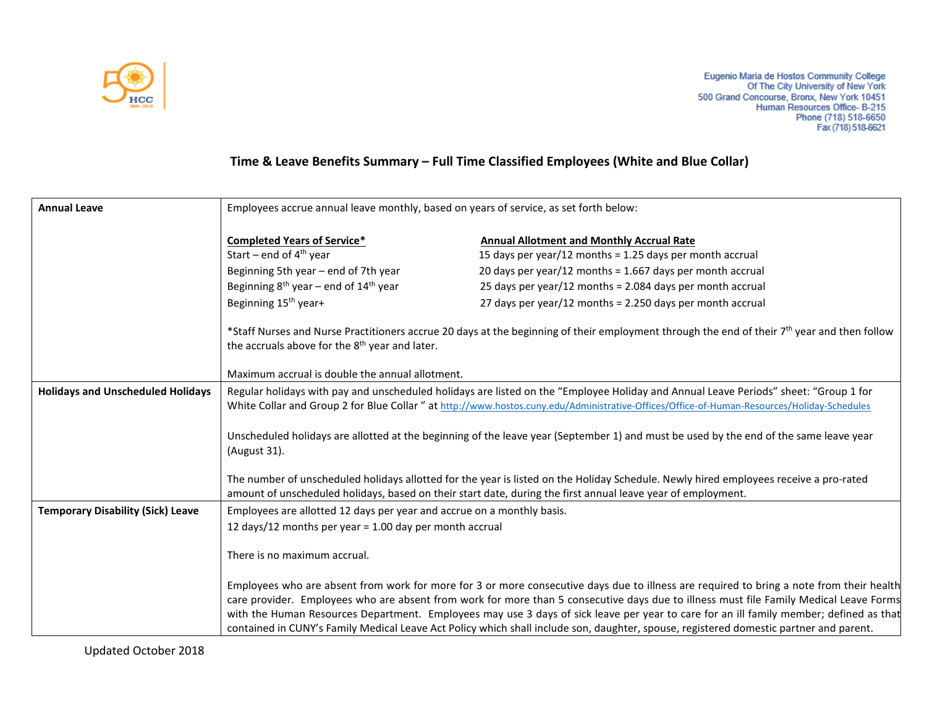

## **Time & Leave Benefits Summary – Full Time Classified Employees (White and Blue Collar)**

| <b>Annual Leave</b>                      | Employees accrue annual leave monthly, based on years of service, as set forth below:                                                                                                                                                                                                                                                                                                                                                                                                                                                                                                                                                                                                                 |                                                                                                                                                                                                                                                                                                                                                                                                                                                                                                                                                                        |
|------------------------------------------|-------------------------------------------------------------------------------------------------------------------------------------------------------------------------------------------------------------------------------------------------------------------------------------------------------------------------------------------------------------------------------------------------------------------------------------------------------------------------------------------------------------------------------------------------------------------------------------------------------------------------------------------------------------------------------------------------------|------------------------------------------------------------------------------------------------------------------------------------------------------------------------------------------------------------------------------------------------------------------------------------------------------------------------------------------------------------------------------------------------------------------------------------------------------------------------------------------------------------------------------------------------------------------------|
|                                          | <b>Completed Years of Service*</b><br>Start – end of $4th$ year<br>Beginning 5th year - end of 7th year<br>Beginning $8^{th}$ year – end of $14^{th}$ year<br>Beginning 15 <sup>th</sup> year+<br>the accruals above for the 8 <sup>th</sup> year and later.                                                                                                                                                                                                                                                                                                                                                                                                                                          | <b>Annual Allotment and Monthly Accrual Rate</b><br>15 days per year/12 months = 1.25 days per month accrual<br>20 days per year/12 months = $1.667$ days per month accrual<br>25 days per year/12 months = 2.084 days per month accrual<br>27 days per year/12 months = 2.250 days per month accrual<br>*Staff Nurses and Nurse Practitioners accrue 20 days at the beginning of their employment through the end of their 7 <sup>th</sup> year and then follow                                                                                                       |
|                                          | Maximum accrual is double the annual allotment.                                                                                                                                                                                                                                                                                                                                                                                                                                                                                                                                                                                                                                                       |                                                                                                                                                                                                                                                                                                                                                                                                                                                                                                                                                                        |
| <b>Holidays and Unscheduled Holidays</b> | Regular holidays with pay and unscheduled holidays are listed on the "Employee Holiday and Annual Leave Periods" sheet: "Group 1 for<br>White Collar and Group 2 for Blue Collar " at http://www.hostos.cuny.edu/Administrative-Offices/Office-of-Human-Resources/Holiday-Schedules<br>Unscheduled holidays are allotted at the beginning of the leave year (September 1) and must be used by the end of the same leave year<br>(August 31).<br>The number of unscheduled holidays allotted for the year is listed on the Holiday Schedule. Newly hired employees receive a pro-rated<br>amount of unscheduled holidays, based on their start date, during the first annual leave year of employment. |                                                                                                                                                                                                                                                                                                                                                                                                                                                                                                                                                                        |
| <b>Temporary Disability (Sick) Leave</b> | Employees are allotted 12 days per year and accrue on a monthly basis.                                                                                                                                                                                                                                                                                                                                                                                                                                                                                                                                                                                                                                |                                                                                                                                                                                                                                                                                                                                                                                                                                                                                                                                                                        |
|                                          | 12 days/12 months per year = 1.00 day per month accrual<br>There is no maximum accrual.                                                                                                                                                                                                                                                                                                                                                                                                                                                                                                                                                                                                               | Employees who are absent from work for more for 3 or more consecutive days due to illness are required to bring a note from their health<br>care provider. Employees who are absent from work for more than 5 consecutive days due to illness must file Family Medical Leave Forms<br>with the Human Resources Department. Employees may use 3 days of sick leave per year to care for an ill family member; defined as that<br>contained in CUNY's Family Medical Leave Act Policy which shall include son, daughter, spouse, registered domestic partner and parent. |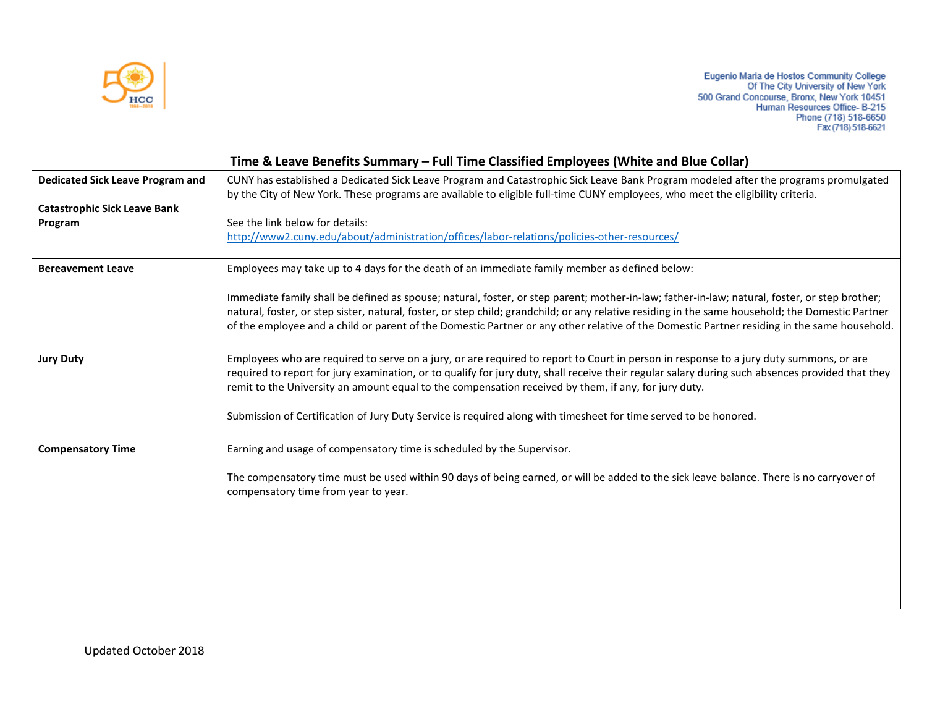

| Time & Leave Benefits Summary - Full Time Classified Employees (White and Blue Collar)                                                                                                                                                                                                                                                                                                                                                            |  |  |
|---------------------------------------------------------------------------------------------------------------------------------------------------------------------------------------------------------------------------------------------------------------------------------------------------------------------------------------------------------------------------------------------------------------------------------------------------|--|--|
| CUNY has established a Dedicated Sick Leave Program and Catastrophic Sick Leave Bank Program modeled after the programs promulgated<br>by the City of New York. These programs are available to eligible full-time CUNY employees, who meet the eligibility criteria.                                                                                                                                                                             |  |  |
|                                                                                                                                                                                                                                                                                                                                                                                                                                                   |  |  |
|                                                                                                                                                                                                                                                                                                                                                                                                                                                   |  |  |
| Immediate family shall be defined as spouse; natural, foster, or step parent; mother-in-law; father-in-law; natural, foster, or step brother;<br>natural, foster, or step sister, natural, foster, or step child; grandchild; or any relative residing in the same household; the Domestic Partner<br>of the employee and a child or parent of the Domestic Partner or any other relative of the Domestic Partner residing in the same household. |  |  |
| Employees who are required to serve on a jury, or are required to report to Court in person in response to a jury duty summons, or are<br>required to report for jury examination, or to qualify for jury duty, shall receive their regular salary during such absences provided that they                                                                                                                                                        |  |  |
|                                                                                                                                                                                                                                                                                                                                                                                                                                                   |  |  |
|                                                                                                                                                                                                                                                                                                                                                                                                                                                   |  |  |
| The compensatory time must be used within 90 days of being earned, or will be added to the sick leave balance. There is no carryover of                                                                                                                                                                                                                                                                                                           |  |  |
|                                                                                                                                                                                                                                                                                                                                                                                                                                                   |  |  |
|                                                                                                                                                                                                                                                                                                                                                                                                                                                   |  |  |
|                                                                                                                                                                                                                                                                                                                                                                                                                                                   |  |  |
|                                                                                                                                                                                                                                                                                                                                                                                                                                                   |  |  |